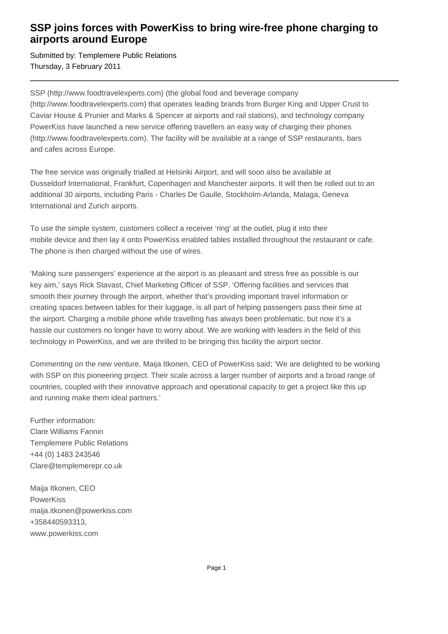## **SSP joins forces with PowerKiss to bring wire-free phone charging to airports around Europe**

Submitted by: Templemere Public Relations Thursday, 3 February 2011

SSP (http://www.foodtravelexperts.com) (the global food and beverage company (http://www.foodtravelexperts.com) that operates leading brands from Burger King and Upper Crust to Caviar House & Prunier and Marks & Spencer at airports and rail stations), and technology company PowerKiss have launched a new service offering travellers an easy way of charging their phones (http://www.foodtravelexperts.com). The facility will be available at a range of SSP restaurants, bars and cafes across Europe.

The free service was originally trialled at Helsinki Airport, and will soon also be available at Dusseldorf International, Frankfurt, Copenhagen and Manchester airports. It will then be rolled out to an additional 30 airports, including Paris - Charles De Gaulle, Stockholm-Arlanda, Malaga, Geneva International and Zurich airports.

To use the simple system, customers collect a receiver 'ring' at the outlet, plug it into their mobile device and then lay it onto PowerKiss enabled tables installed throughout the restaurant or cafe. The phone is then charged without the use of wires.

'Making sure passengers' experience at the airport is as pleasant and stress free as possible is our key aim,' says Rick Stavast, Chief Marketing Officer of SSP. 'Offering facilities and services that smooth their journey through the airport, whether that's providing important travel information or creating spaces between tables for their luggage, is all part of helping passengers pass their time at the airport. Charging a mobile phone while travelling has always been problematic, but now it's a hassle our customers no longer have to worry about. We are working with leaders in the field of this technology in PowerKiss, and we are thrilled to be bringing this facility the airport sector.

Commenting on the new venture, Maija Itkonen, CEO of PowerKiss said; 'We are delighted to be working with SSP on this pioneering project. Their scale across a larger number of airports and a broad range of countries, coupled with their innovative approach and operational capacity to get a project like this up and running make them ideal partners.'

Further information: Clare Williams Fannin Templemere Public Relations +44 (0) 1483 243546 Clare@templemerepr.co.uk

Maija Itkonen, CEO **PowerKiss** maija.itkonen@powerkiss.com +358440593313, www.powerkiss.com